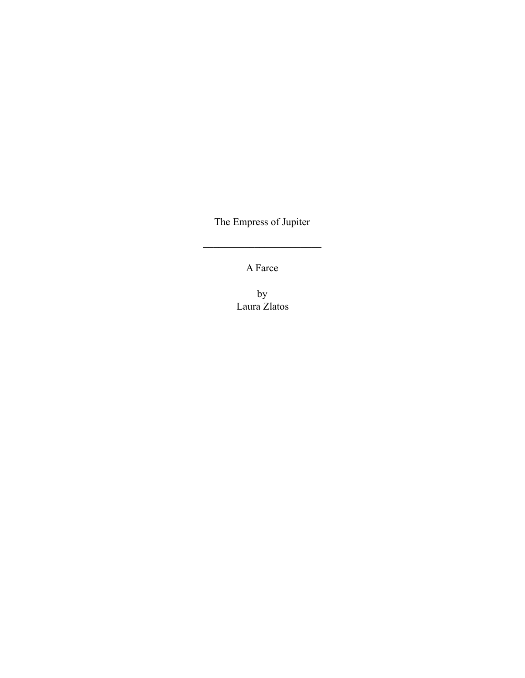The Empress of Jupiter

 $\mathcal{L}_\text{max}$  , where  $\mathcal{L}_\text{max}$  , we have the set of  $\mathcal{L}_\text{max}$ 

A Farce

by Laura Zlatos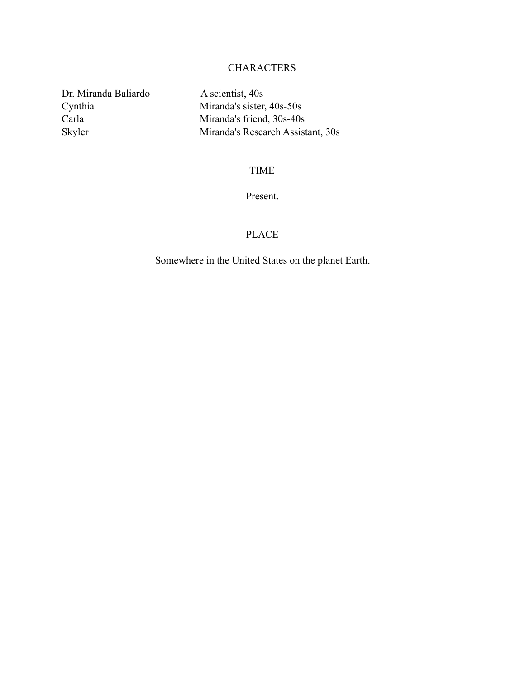## CHARACTERS

Dr. Miranda Baliardo A scientist, 40s

Cynthia Miranda's sister, 40s-50s Carla Miranda's friend, 30s-40s Skyler Miranda's Research Assistant, 30s

## TIME

## Present.

## PLACE

Somewhere in the United States on the planet Earth.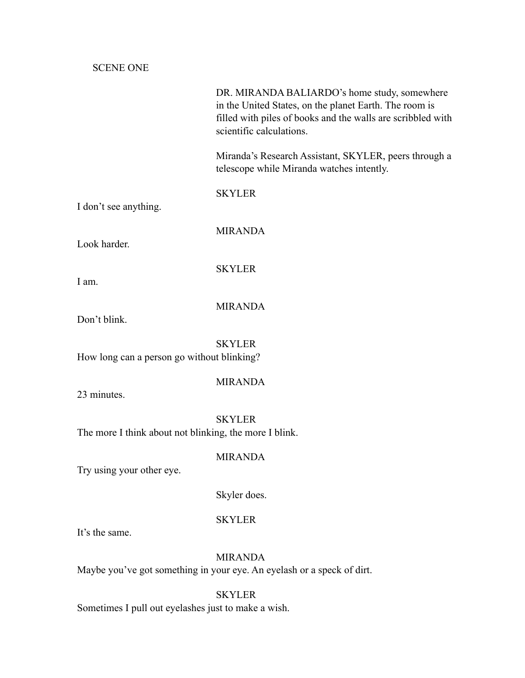SCENE ONE

|                                                        | DR. MIRANDA BALIARDO's home study, somewhere<br>in the United States, on the planet Earth. The room is<br>filled with piles of books and the walls are scribbled with<br>scientific calculations. |
|--------------------------------------------------------|---------------------------------------------------------------------------------------------------------------------------------------------------------------------------------------------------|
|                                                        | Miranda's Research Assistant, SKYLER, peers through a<br>telescope while Miranda watches intently.                                                                                                |
| I don't see anything.                                  | <b>SKYLER</b>                                                                                                                                                                                     |
| Look harder.                                           | <b>MIRANDA</b>                                                                                                                                                                                    |
| I am.                                                  | <b>SKYLER</b>                                                                                                                                                                                     |
| Don't blink.                                           | <b>MIRANDA</b>                                                                                                                                                                                    |
| How long can a person go without blinking?             | <b>SKYLER</b>                                                                                                                                                                                     |
| 23 minutes.                                            | <b>MIRANDA</b>                                                                                                                                                                                    |
| The more I think about not blinking, the more I blink. | <b>SKYLER</b>                                                                                                                                                                                     |
| Try using your other eye.                              | <b>MIRANDA</b>                                                                                                                                                                                    |
|                                                        | Skyler does.                                                                                                                                                                                      |
|                                                        | <b>SKYLER</b>                                                                                                                                                                                     |

It's the same.

## MIRANDA

Maybe you've got something in your eye. An eyelash or a speck of dirt.

## SKYLER

Sometimes I pull out eyelashes just to make a wish.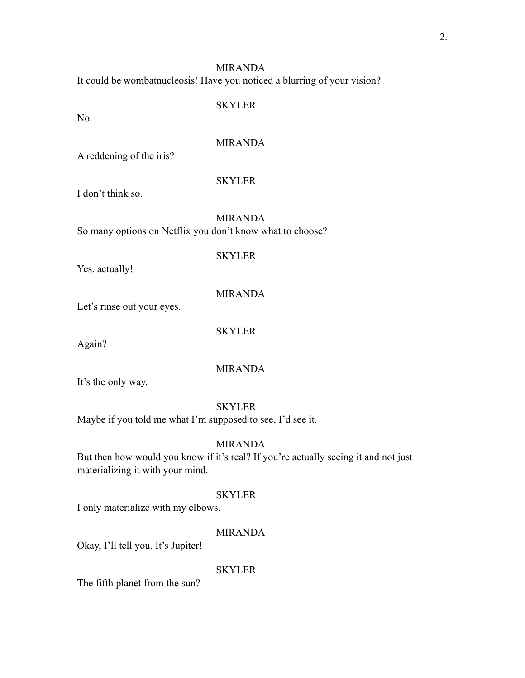It could be wombatnucleosis! Have you noticed a blurring of your vision?

### SKYLER

No.

## MIRANDA

A reddening of the iris?

#### SKYLER

I don't think so.

## MIRANDA

So many options on Netflix you don't know what to choose?

# **SKYLER**

Yes, actually!

## MIRANDA

Let's rinse out your eyes.

## SKYLER

Again?

## MIRANDA

It's the only way.

## SKYLER

Maybe if you told me what I'm supposed to see, I'd see it.

## MIRANDA

But then how would you know if it's real? If you're actually seeing it and not just materializing it with your mind.

## SKYLER

I only materialize with my elbows.

## MIRANDA

Okay, I'll tell you. It's Jupiter!

#### **SKYLER**

The fifth planet from the sun?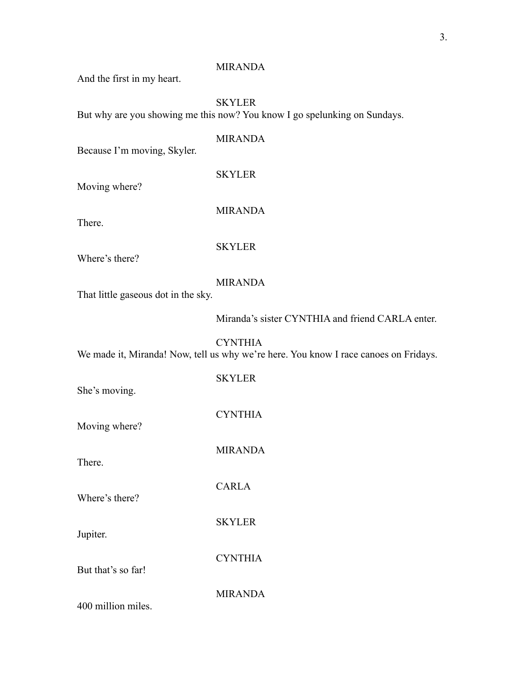And the first in my heart.

## SKYLER

But why are you showing me this now? You know I go spelunking on Sundays.

### MIRANDA

Because I'm moving, Skyler.

## SKYLER

Moving where?

There.

MIRANDA

### SKYLER

Where's there?

## MIRANDA

That little gaseous dot in the sky.

Miranda's sister CYNTHIA and friend CARLA enter.

CYNTHIA We made it, Miranda! Now, tell us why we're here. You know I race canoes on Fridays.

| She's moving.      | <b>SKYLER</b>  |
|--------------------|----------------|
| Moving where?      | <b>CYNTHIA</b> |
| There.             | <b>MIRANDA</b> |
| Where's there?     | <b>CARLA</b>   |
| Jupiter.           | <b>SKYLER</b>  |
|                    | <b>CYNTHIA</b> |
| But that's so far! | MIRANDA        |

400 million miles.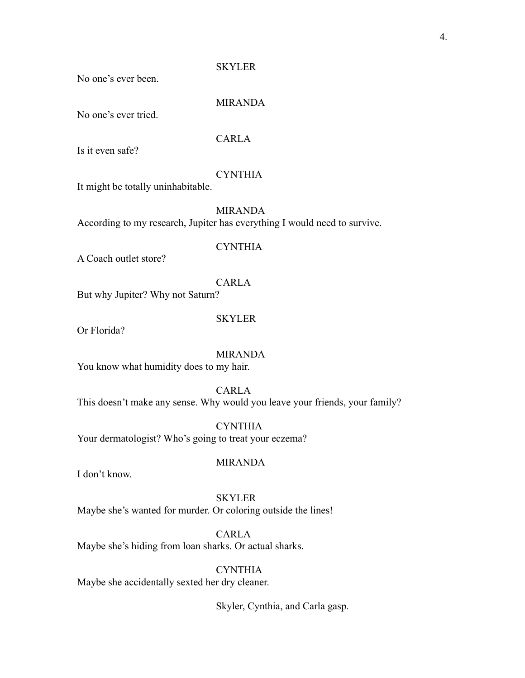## SKYLER

No one's ever been.

## MIRANDA

No one's ever tried.

## CARLA

Is it even safe?

## **CYNTHIA**

It might be totally uninhabitable.

MIRANDA

According to my research, Jupiter has everything I would need to survive.

### **CYNTHIA**

A Coach outlet store?

## CARLA

But why Jupiter? Why not Saturn?

### **SKYLER**

Or Florida?

MIRANDA You know what humidity does to my hair.

#### CARLA

This doesn't make any sense. Why would you leave your friends, your family?

**CYNTHIA** Your dermatologist? Who's going to treat your eczema?

## MIRANDA

I don't know.

## SKYLER

Maybe she's wanted for murder. Or coloring outside the lines!

CARLA

Maybe she's hiding from loan sharks. Or actual sharks.

## **CYNTHIA**

Maybe she accidentally sexted her dry cleaner.

Skyler, Cynthia, and Carla gasp.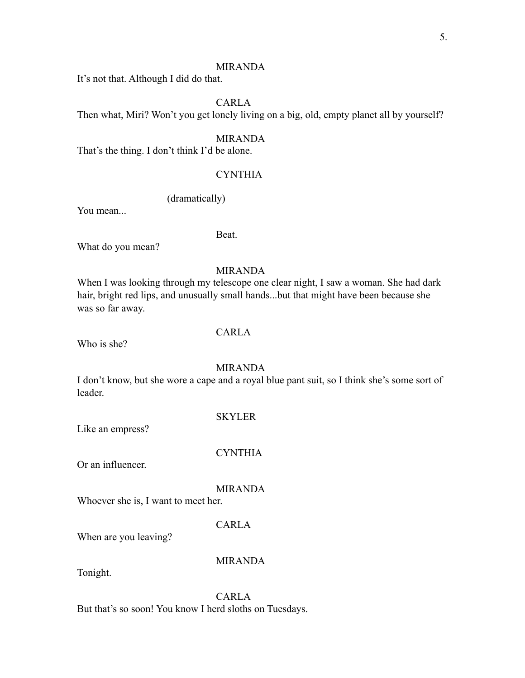It's not that. Although I did do that.

## CARLA

Then what, Miri? Won't you get lonely living on a big, old, empty planet all by yourself?

#### MIRANDA

That's the thing. I don't think I'd be alone.

## **CYNTHIA**

#### (dramatically)

You mean...

#### Beat.

What do you mean?

#### MIRANDA

When I was looking through my telescope one clear night, I saw a woman. She had dark hair, bright red lips, and unusually small hands...but that might have been because she was so far away.

#### CARLA

Who is she?

## MIRANDA

I don't know, but she wore a cape and a royal blue pant suit, so I think she's some sort of leader.

#### SKYLER

CYNTHIA

Like an empress?

Or an influencer.

#### MIRANDA

Whoever she is, I want to meet her.

## CARLA

When are you leaving?

## MIRANDA

Tonight.

CARLA But that's so soon! You know I herd sloths on Tuesdays.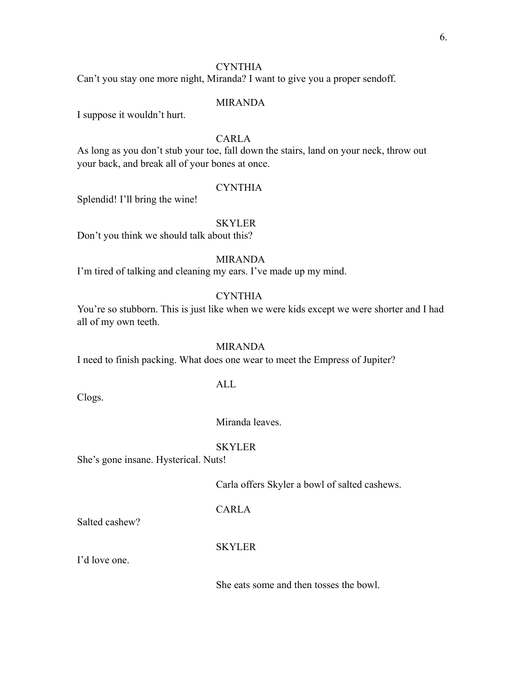Can't you stay one more night, Miranda? I want to give you a proper sendoff.

#### MIRANDA

I suppose it wouldn't hurt.

## CARLA

As long as you don't stub your toe, fall down the stairs, land on your neck, throw out your back, and break all of your bones at once.

#### **CYNTHIA**

Splendid! I'll bring the wine!

#### **SKYLER**

Don't you think we should talk about this?

## MIRANDA

I'm tired of talking and cleaning my ears. I've made up my mind.

## **CYNTHIA**

You're so stubborn. This is just like when we were kids except we were shorter and I had all of my own teeth.

#### MIRANDA

I need to finish packing. What does one wear to meet the Empress of Jupiter?

### ALL

Clogs.

#### Miranda leaves.

#### SKYLER

She's gone insane. Hysterical. Nuts!

Carla offers Skyler a bowl of salted cashews.

## CARLA

Salted cashew?

#### **SKYLER**

I'd love one.

She eats some and then tosses the bowl.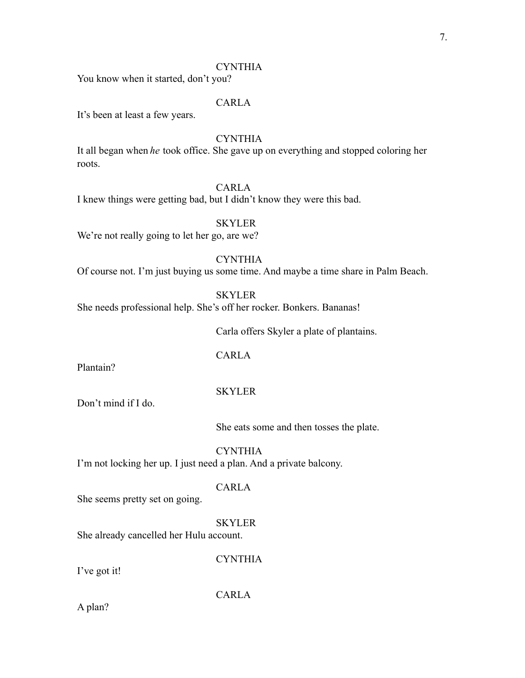You know when it started, don't you?

## CARLA

It's been at least a few years.

## **CYNTHIA**

It all began when *he* took office. She gave up on everything and stopped coloring her roots.

## CARLA

I knew things were getting bad, but I didn't know they were this bad.

## **SKYLER**

We're not really going to let her go, are we?

## **CYNTHIA**

Of course not. I'm just buying us some time. And maybe a time share in Palm Beach.

**SKYLER** 

She needs professional help. She's off her rocker. Bonkers. Bananas!

Carla offers Skyler a plate of plantains.

## CARLA

Plantain?

#### SKYLER

Don't mind if I do.

She eats some and then tosses the plate.

**CYNTHIA** 

I'm not locking her up. I just need a plan. And a private balcony.

## CARLA

She seems pretty set on going.

## SKYLER

She already cancelled her Hulu account.

#### **CYNTHIA**

I've got it!

CARLA

A plan?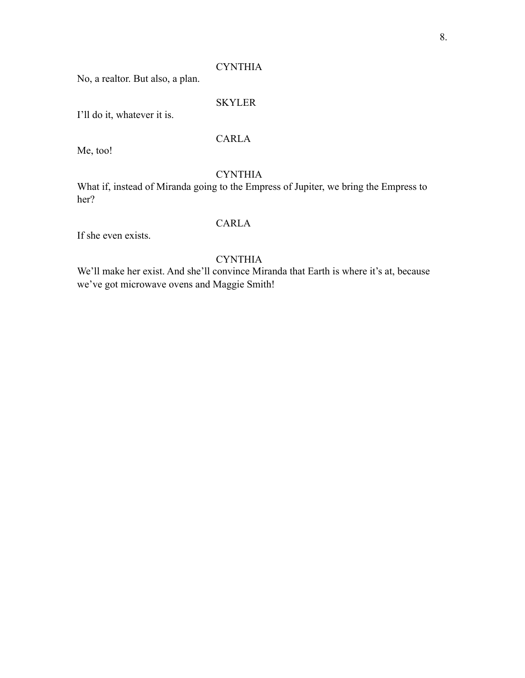No, a realtor. But also, a plan.

#### SKYLER

I'll do it, whatever it is.

## CARLA

Me, too!

#### **CYNTHIA**

What if, instead of Miranda going to the Empress of Jupiter, we bring the Empress to her?

## CARLA

If she even exists.

## **CYNTHIA**

We'll make her exist. And she'll convince Miranda that Earth is where it's at, because we've got microwave ovens and Maggie Smith!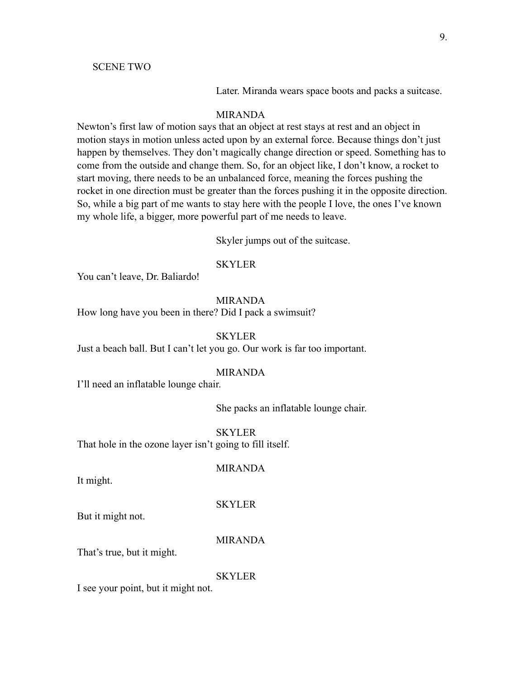#### SCENE TWO

Later. Miranda wears space boots and packs a suitcase.

#### MIRANDA

Newton's first law of motion says that an object at rest stays at rest and an object in motion stays in motion unless acted upon by an external force. Because things don't just happen by themselves. They don't magically change direction or speed. Something has to come from the outside and change them. So, for an object like, I don't know, a rocket to start moving, there needs to be an unbalanced force, meaning the forces pushing the rocket in one direction must be greater than the forces pushing it in the opposite direction. So, while a big part of me wants to stay here with the people I love, the ones I've known my whole life, a bigger, more powerful part of me needs to leave.

Skyler jumps out of the suitcase.

#### **SKYLER**

You can't leave, Dr. Baliardo!

#### MIRANDA

How long have you been in there? Did I pack a swimsuit?

#### **SKYLER**

Just a beach ball. But I can't let you go. Our work is far too important.

#### MIRANDA

I'll need an inflatable lounge chair.

She packs an inflatable lounge chair.

SKYLER That hole in the ozone layer isn't going to fill itself.

MIRANDA

It might.

#### SKYLER

But it might not.

#### MIRANDA

That's true, but it might.

**SKYLER** 

I see your point, but it might not.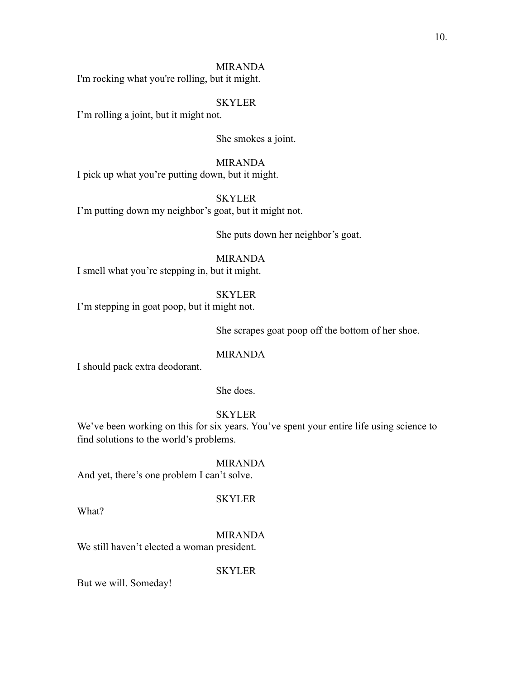I'm rocking what you're rolling, but it might.

#### SKYLER

I'm rolling a joint, but it might not.

She smokes a joint.

#### MIRANDA

I pick up what you're putting down, but it might.

SKYLER

I'm putting down my neighbor's goat, but it might not.

She puts down her neighbor's goat.

MIRANDA

I smell what you're stepping in, but it might.

SKYLER

I'm stepping in goat poop, but it might not.

She scrapes goat poop off the bottom of her shoe.

### MIRANDA

I should pack extra deodorant.

#### She does.

## SKYLER

We've been working on this for six years. You've spent your entire life using science to find solutions to the world's problems.

MIRANDA And yet, there's one problem I can't solve.

SKYLER

What?

MIRANDA

We still haven't elected a woman president.

SKYLER

But we will. Someday!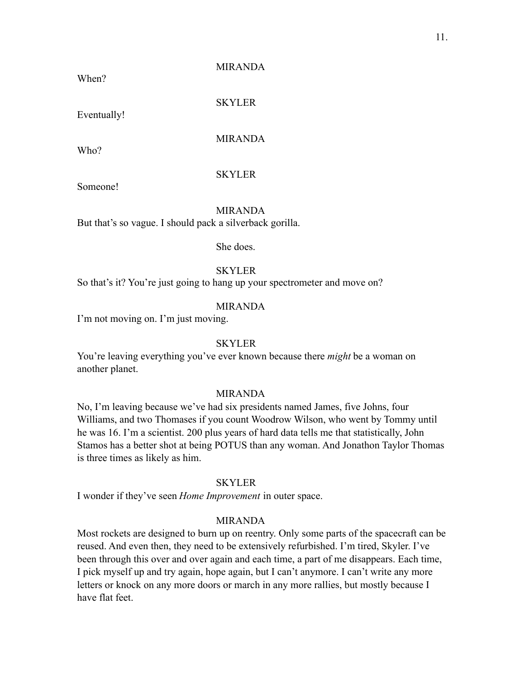When?

MIRANDA

**SKYLER** 

Eventually!

## MIRANDA

Who?

## **SKYLER**

Someone!

MIRANDA But that's so vague. I should pack a silverback gorilla.

She does.

## SKYLER

So that's it? You're just going to hang up your spectrometer and move on?

#### MIRANDA

I'm not moving on. I'm just moving.

### **SKYLER**

You're leaving everything you've ever known because there *might* be a woman on another planet.

#### MIRANDA

No, I'm leaving because we've had six presidents named James, five Johns, four Williams, and two Thomases if you count Woodrow Wilson, who went by Tommy until he was 16. I'm a scientist. 200 plus years of hard data tells me that statistically, John Stamos has a better shot at being POTUS than any woman. And Jonathon Taylor Thomas is three times as likely as him.

#### **SKYLER**

I wonder if they've seen *Home Improvement* in outer space.

#### MIRANDA

Most rockets are designed to burn up on reentry. Only some parts of the spacecraft can be reused. And even then, they need to be extensively refurbished. I'm tired, Skyler. I've been through this over and over again and each time, a part of me disappears. Each time, I pick myself up and try again, hope again, but I can't anymore. I can't write any more letters or knock on any more doors or march in any more rallies, but mostly because I have flat feet.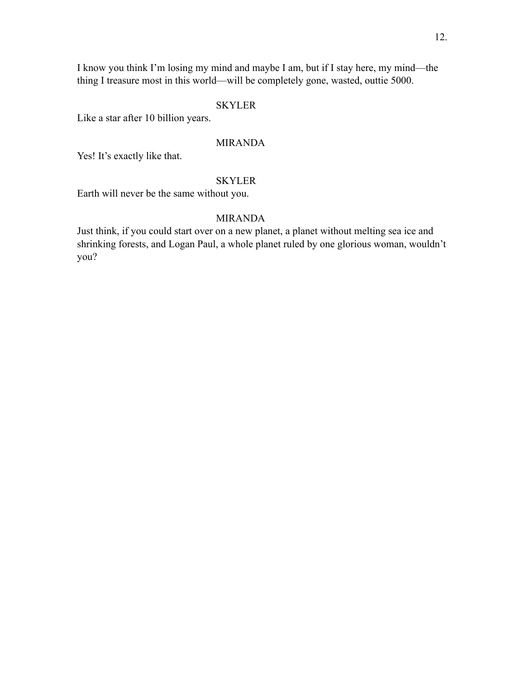I know you think I'm losing my mind and maybe I am, but if I stay here, my mind—the thing I treasure most in this world—will be completely gone, wasted, outtie 5000.

## SKYLER

Like a star after 10 billion years.

## MIRANDA

Yes! It's exactly like that.

## SKYLER

Earth will never be the same without you.

## MIRANDA

Just think, if you could start over on a new planet, a planet without melting sea ice and shrinking forests, and Logan Paul, a whole planet ruled by one glorious woman, wouldn't you?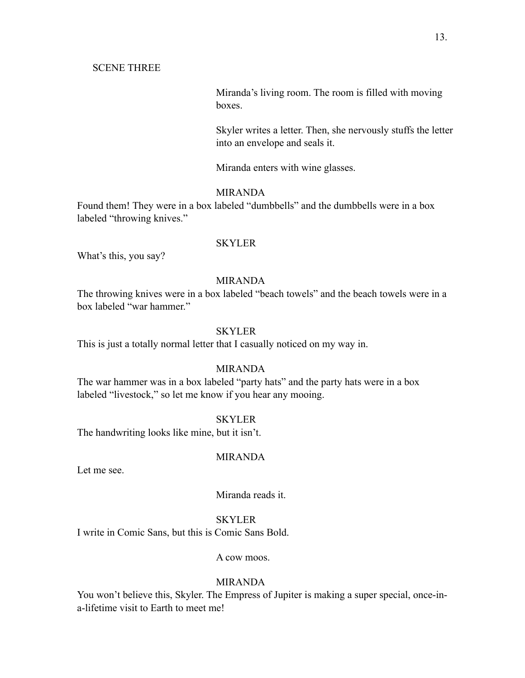Miranda's living room. The room is filled with moving boxes.

Skyler writes a letter. Then, she nervously stuffs the letter into an envelope and seals it.

Miranda enters with wine glasses.

#### MIRANDA

Found them! They were in a box labeled "dumbbells" and the dumbbells were in a box labeled "throwing knives."

#### SKYLER

What's this, you say?

#### MIRANDA

The throwing knives were in a box labeled "beach towels" and the beach towels were in a box labeled "war hammer."

## **SKYLER**

This is just a totally normal letter that I casually noticed on my way in.

#### MIRANDA

The war hammer was in a box labeled "party hats" and the party hats were in a box labeled "livestock," so let me know if you hear any mooing.

#### SKYLER

The handwriting looks like mine, but it isn't.

#### MIRANDA

Let me see.

## Miranda reads it.

#### **SKYLER**

I write in Comic Sans, but this is Comic Sans Bold.

## A cow moos.

#### MIRANDA

You won't believe this, Skyler. The Empress of Jupiter is making a super special, once-ina-lifetime visit to Earth to meet me!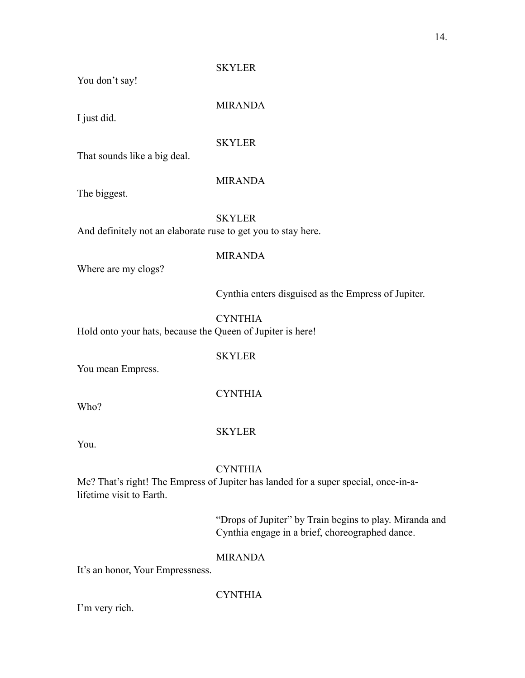You don't say!

MIRANDA

SKYLER

I just did.

SKYLER

That sounds like a big deal.

## MIRANDA

The biggest.

## **SKYLER**

And definitely not an elaborate ruse to get you to stay here.

## MIRANDA

Where are my clogs?

Cynthia enters disguised as the Empress of Jupiter.

### **CYNTHIA**

Hold onto your hats, because the Queen of Jupiter is here!

## SKYLER

You mean Empress.

## CYNTHIA

Who?

## **SKYLER**

You.

## **CYNTHIA**

Me? That's right! The Empress of Jupiter has landed for a super special, once-in-alifetime visit to Earth.

> "Drops of Jupiter" by Train begins to play. Miranda and Cynthia engage in a brief, choreographed dance.

## MIRANDA

It's an honor, Your Empressness.

**CYNTHIA** 

I'm very rich.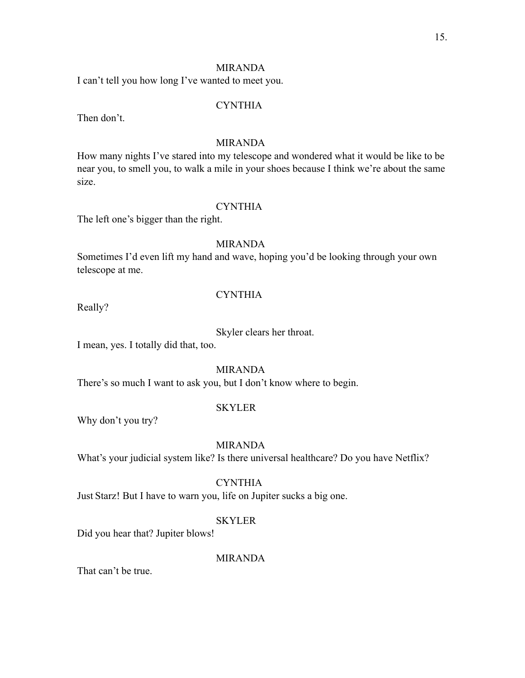I can't tell you how long I've wanted to meet you.

#### **CYNTHIA**

Then don't.

## MIRANDA

How many nights I've stared into my telescope and wondered what it would be like to be near you, to smell you, to walk a mile in your shoes because I think we're about the same size.

#### CYNTHIA

The left one's bigger than the right.

### MIRANDA

Sometimes I'd even lift my hand and wave, hoping you'd be looking through your own telescope at me.

Really?

#### **CYNTHIA**

Skyler clears her throat.

I mean, yes. I totally did that, too.

MIRANDA

There's so much I want to ask you, but I don't know where to begin.

#### **SKYLER**

Why don't you try?

#### MIRANDA

What's your judicial system like? Is there universal healthcare? Do you have Netflix?

## **CYNTHIA**

Just Starz! But I have to warn you, life on Jupiter sucks a big one.

#### **SKYLER**

Did you hear that? Jupiter blows!

#### MIRANDA

That can't be true.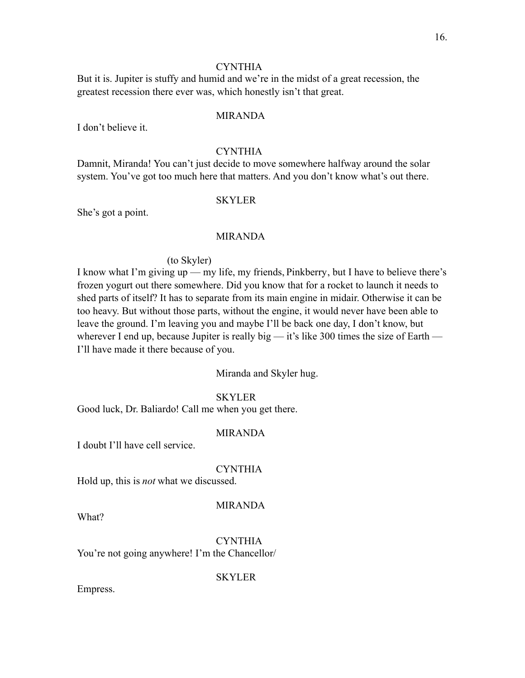But it is. Jupiter is stuffy and humid and we're in the midst of a great recession, the greatest recession there ever was, which honestly isn't that great.

#### MIRANDA

I don't believe it.

## **CYNTHIA**

Damnit, Miranda! You can't just decide to move somewhere halfway around the solar system. You've got too much here that matters. And you don't know what's out there.

#### **SKYLER**

She's got a point.

## MIRANDA

#### (to Skyler)

I know what I'm giving up — my life, my friends, Pinkberry, but I have to believe there's frozen yogurt out there somewhere. Did you know that for a rocket to launch it needs to shed parts of itself? It has to separate from its main engine in midair. Otherwise it can be too heavy. But without those parts, without the engine, it would never have been able to leave the ground. I'm leaving you and maybe I'll be back one day, I don't know, but wherever I end up, because Jupiter is really big  $-$  it's like 300 times the size of Earth  $-$ I'll have made it there because of you.

Miranda and Skyler hug.

#### **SKYLER**

Good luck, Dr. Baliardo! Call me when you get there.

## MIRANDA

I doubt I'll have cell service.

#### **CYNTHIA**

Hold up, this is *not* what we discussed.

#### MIRANDA

What?

**CYNTHIA** You're not going anywhere! I'm the Chancellor/

**SKYLER** 

Empress.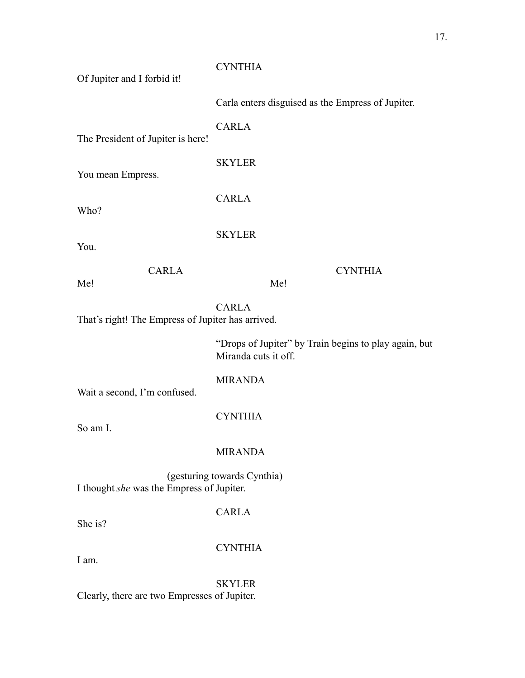| Of Jupiter and I forbid it!                                              | <b>CYNTHIA</b>                                                                |  |
|--------------------------------------------------------------------------|-------------------------------------------------------------------------------|--|
|                                                                          | Carla enters disguised as the Empress of Jupiter.                             |  |
| The President of Jupiter is here!                                        | <b>CARLA</b>                                                                  |  |
| You mean Empress.                                                        | <b>SKYLER</b>                                                                 |  |
| Who?                                                                     | <b>CARLA</b>                                                                  |  |
|                                                                          | <b>SKYLER</b>                                                                 |  |
| You.                                                                     |                                                                               |  |
| <b>CARLA</b><br>Me!                                                      | <b>CYNTHIA</b><br>Me!                                                         |  |
| That's right! The Empress of Jupiter has arrived.                        | <b>CARLA</b>                                                                  |  |
|                                                                          | "Drops of Jupiter" by Train begins to play again, but<br>Miranda cuts it off. |  |
| Wait a second, I'm confused.                                             | <b>MIRANDA</b>                                                                |  |
| So am I.                                                                 | <b>CYNTHIA</b>                                                                |  |
|                                                                          | <b>MIRANDA</b>                                                                |  |
| (gesturing towards Cynthia)<br>I thought she was the Empress of Jupiter. |                                                                               |  |
| She is?                                                                  | <b>CARLA</b>                                                                  |  |
| I am.                                                                    | <b>CYNTHIA</b>                                                                |  |
| Clearly, there are two Empresses of Jupiter.                             | <b>SKYLER</b>                                                                 |  |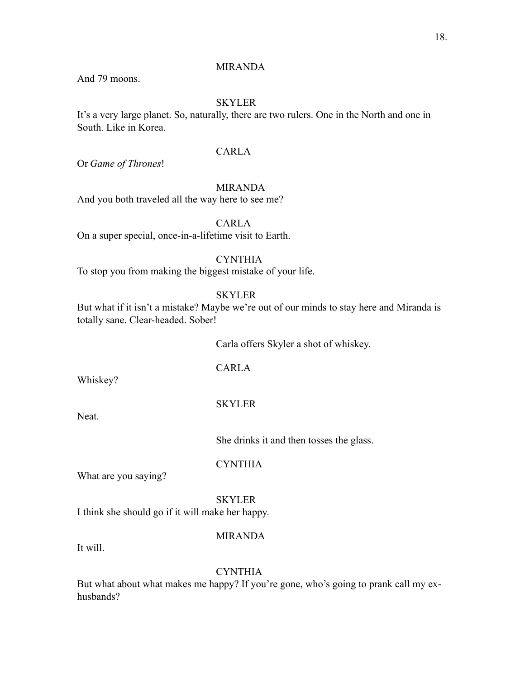And 79 moons.

## **SKYLER**

It's a very large planet. So, naturally, there are two rulers. One in the North and one in South. Like in Korea.

## CARLA

Or *Game of Thrones*!

#### MIRANDA

And you both traveled all the way here to see me?

CARLA

On a super special, once-in-a-lifetime visit to Earth.

## **CYNTHIA**

To stop you from making the biggest mistake of your life.

#### **SKYLER**

But what if it isn't a mistake? Maybe we're out of our minds to stay here and Miranda is totally sane. Clear-headed. Sober!

Carla offers Skyler a shot of whiskey.

CARLA

Whiskey?

#### SKYLER

Neat.

She drinks it and then tosses the glass.

**CYNTHIA** 

What are you saying?

**SKYLER** I think she should go if it will make her happy.

#### MIRANDA

It will.

#### **CYNTHIA**

But what about what makes me happy? If you're gone, who's going to prank call my exhusbands?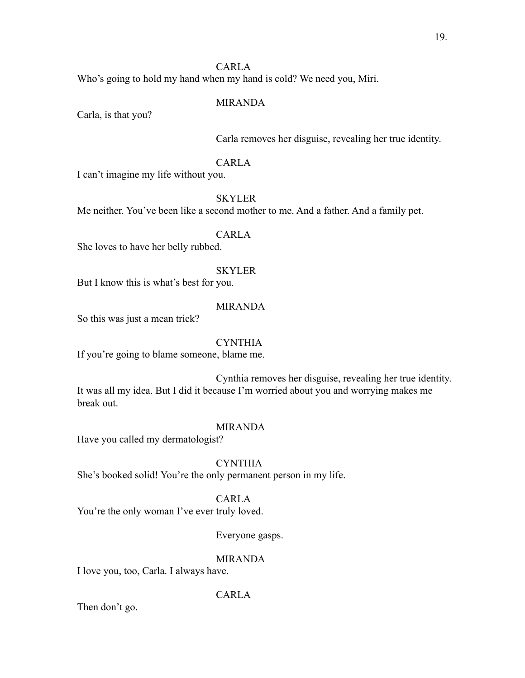## CARLA

Who's going to hold my hand when my hand is cold? We need you, Miri.

#### MIRANDA

Carla, is that you?

Carla removes her disguise, revealing her true identity.

#### CARLA

I can't imagine my life without you.

**SKYLER** 

Me neither. You've been like a second mother to me. And a father. And a family pet.

CARLA

She loves to have her belly rubbed.

#### SKYLER

But I know this is what's best for you.

#### MIRANDA

So this was just a mean trick?

CYNTHIA

If you're going to blame someone, blame me.

Cynthia removes her disguise, revealing her true identity. It was all my idea. But I did it because I'm worried about you and worrying makes me break out.

#### MIRANDA

Have you called my dermatologist?

CYNTHIA

She's booked solid! You're the only permanent person in my life.

## CARLA

You're the only woman I've ever truly loved.

Everyone gasps.

#### MIRANDA

I love you, too, Carla. I always have.

## CARLA

Then don't go.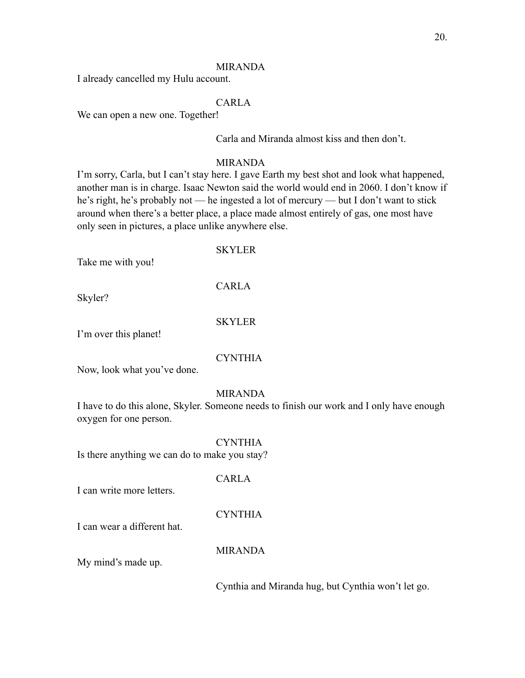I already cancelled my Hulu account.

## CARLA

We can open a new one. Together!

Carla and Miranda almost kiss and then don't.

### MIRANDA

I'm sorry, Carla, but I can't stay here. I gave Earth my best shot and look what happened, another man is in charge. Isaac Newton said the world would end in 2060. I don't know if he's right, he's probably not — he ingested a lot of mercury — but I don't want to stick around when there's a better place, a place made almost entirely of gas, one most have only seen in pictures, a place unlike anywhere else.

## **SKYLER**

Take me with you!

CARLA

Skyler?

### SKYLER

I'm over this planet!

## CYNTHIA

Now, look what you've done.

#### MIRANDA

I have to do this alone, Skyler. Someone needs to finish our work and I only have enough oxygen for one person.

## CYNTHIA

Is there anything we can do to make you stay?

## CARLA

I can write more letters.

## CYNTHIA

I can wear a different hat.

## MIRANDA

My mind's made up.

Cynthia and Miranda hug, but Cynthia won't let go.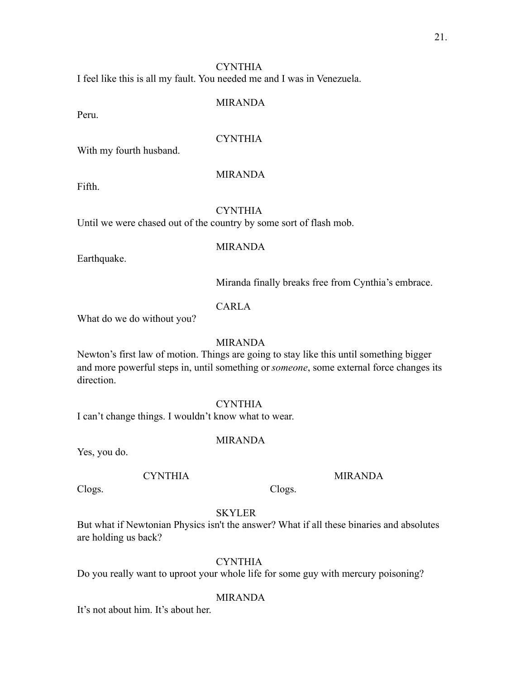I feel like this is all my fault. You needed me and I was in Venezuela.

#### MIRANDA

Peru.

### **CYNTHIA**

With my fourth husband.

### MIRANDA

Fifth.

#### **CYNTHIA**

Until we were chased out of the country by some sort of flash mob.

#### MIRANDA

Earthquake.

Miranda finally breaks free from Cynthia's embrace.

## CARLA

What do we do without you?

#### MIRANDA

Newton's first law of motion. Things are going to stay like this until something bigger and more powerful steps in, until something or *someone*, some external force changes its direction.

#### CYNTHIA

I can't change things. I wouldn't know what to wear.

#### MIRANDA

Yes, you do.

## **CYNTHIA**

MIRANDA

Clogs.

#### SKYLER

But what if Newtonian Physics isn't the answer? What if all these binaries and absolutes are holding us back?

Clogs.

## **CYNTHIA**

Do you really want to uproot your whole life for some guy with mercury poisoning?

#### MIRANDA

It's not about him. It's about her.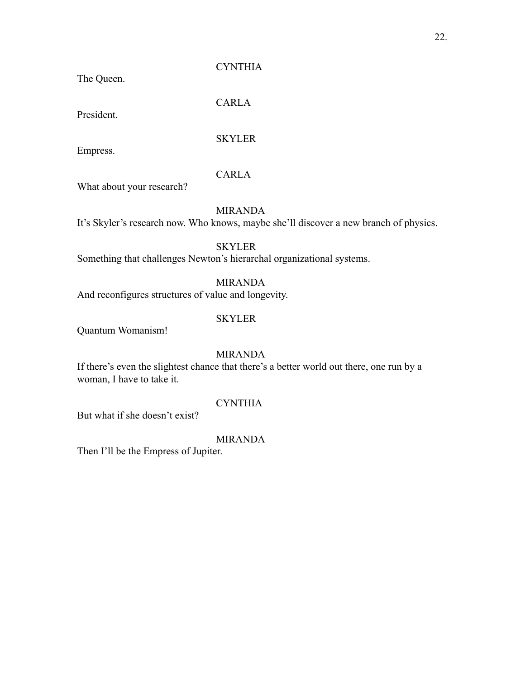The Queen.

**CYNTHIA** 

CARLA

President.

SKYLER

Empress.

## CARLA

What about your research?

MIRANDA

It's Skyler's research now. Who knows, maybe she'll discover a new branch of physics.

SKYLER

Something that challenges Newton's hierarchal organizational systems.

## MIRANDA

And reconfigures structures of value and longevity.

## SKYLER

Quantum Womanism!

MIRANDA

If there's even the slightest chance that there's a better world out there, one run by a woman, I have to take it.

## CYNTHIA

But what if she doesn't exist?

## MIRANDA

Then I'll be the Empress of Jupiter.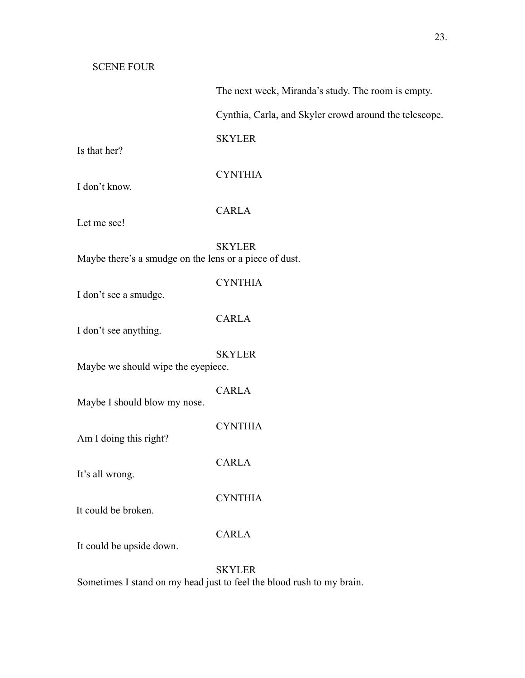The next week, Miranda's study. The room is empty.

Cynthia, Carla, and Skyler crowd around the telescope.

SKYLER

Is that her?

## **CYNTHIA**

I don't know.

CARLA

Let me see!

SKYLER Maybe there's a smudge on the lens or a piece of dust.

## **CYNTHIA**

I don't see a smudge.

### CARLA

I don't see anything.

### **SKYLER**

Maybe we should wipe the eyepiece.

#### CARLA

Maybe I should blow my nose.

**CYNTHIA** 

CARLA

Am I doing this right?

It's all wrong.

It could be broken.

## CARLA

CYNTHIA

It could be upside down.

## SKYLER

Sometimes I stand on my head just to feel the blood rush to my brain.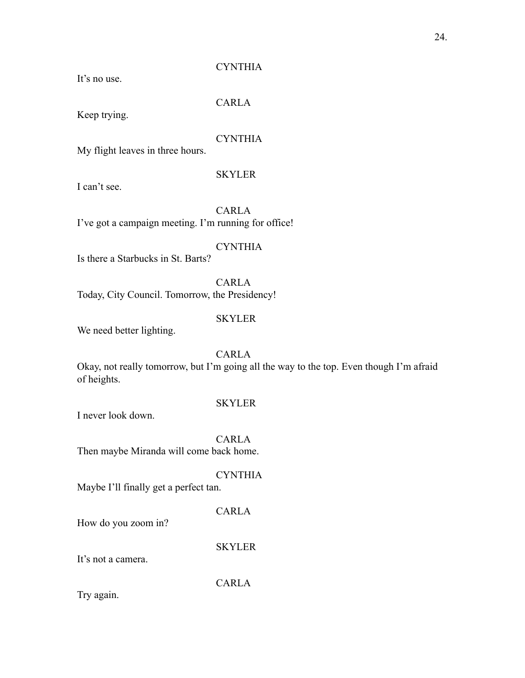It's no use.

## CARLA

Keep trying.

## **CYNTHIA**

My flight leaves in three hours.

## **SKYLER**

I can't see.

CARLA I've got a campaign meeting. I'm running for office!

## **CYNTHIA**

Is there a Starbucks in St. Barts?

CARLA Today, City Council. Tomorrow, the Presidency!

#### SKYLER

We need better lighting.

## CARLA

Okay, not really tomorrow, but I'm going all the way to the top. Even though I'm afraid of heights.

#### SKYLER

I never look down.

CARLA Then maybe Miranda will come back home.

**CYNTHIA** 

Maybe I'll finally get a perfect tan.

CARLA

How do you zoom in?

SKYLER

It's not a camera.

CARLA

Try again.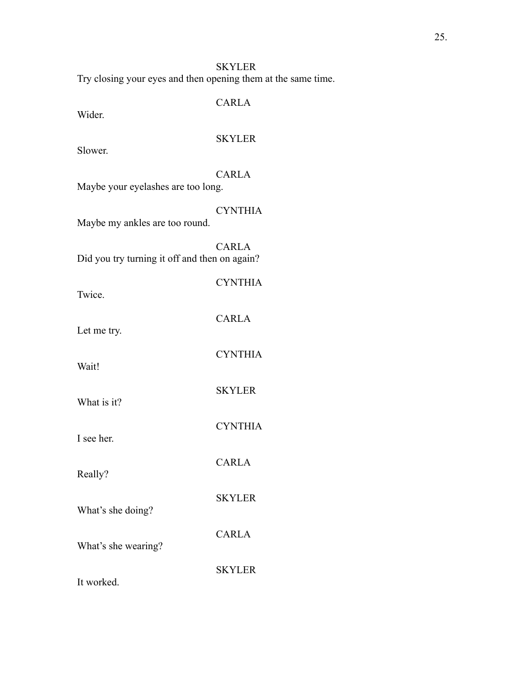Try closing your eyes and then opening them at the same time.

| Wider.                                        | <b>CARLA</b>   |
|-----------------------------------------------|----------------|
| Slower.                                       | <b>SKYLER</b>  |
| Maybe your eyelashes are too long.            | <b>CARLA</b>   |
| Maybe my ankles are too round.                | <b>CYNTHIA</b> |
| Did you try turning it off and then on again? | <b>CARLA</b>   |
| Twice.                                        | <b>CYNTHIA</b> |
| Let me try.                                   | <b>CARLA</b>   |
| Wait!                                         | <b>CYNTHIA</b> |
| What is it?                                   | <b>SKYLER</b>  |
| I see her.                                    | <b>CYNTHIA</b> |
| Really?                                       | <b>CARLA</b>   |
| What's she doing?                             | <b>SKYLER</b>  |
| What's she wearing?                           | <b>CARLA</b>   |
| It worked.                                    | <b>SKYLER</b>  |
|                                               |                |